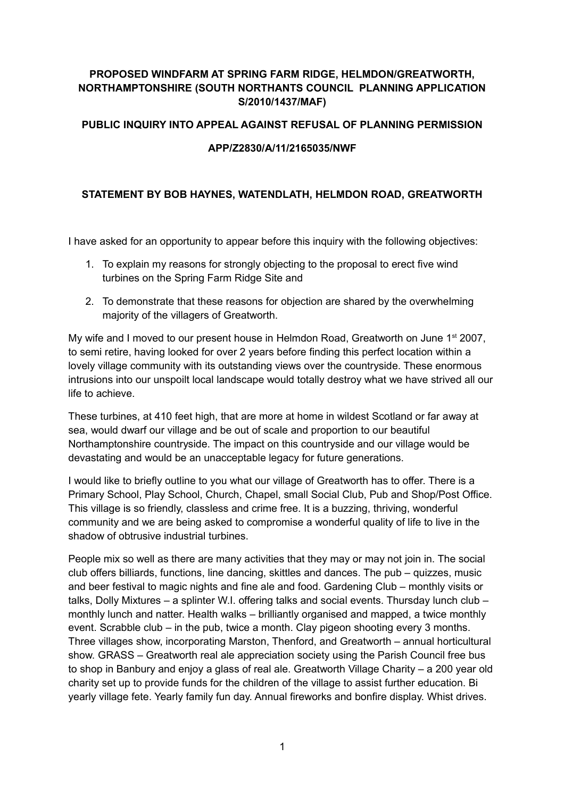## **PROPOSED WINDFARM AT SPRING FARM RIDGE, HELMDON/GREATWORTH, NORTHAMPTONSHIRE (SOUTH NORTHANTS COUNCIL PLANNING APPLICATION S/2010/1437/MAF)**

#### **PUBLIC INQUIRY INTO APPEAL AGAINST REFUSAL OF PLANNING PERMISSION**

#### **APP/Z2830/A/11/2165035/NWF**

### **STATEMENT BY BOB HAYNES, WATENDLATH, HELMDON ROAD, GREATWORTH**

I have asked for an opportunity to appear before this inquiry with the following objectives:

- 1. To explain my reasons for strongly objecting to the proposal to erect five wind turbines on the Spring Farm Ridge Site and
- 2. To demonstrate that these reasons for objection are shared by the overwhelming majority of the villagers of Greatworth.

My wife and I moved to our present house in Helmdon Road, Greatworth on June  $1<sup>st</sup> 2007$ , to semi retire, having looked for over 2 years before finding this perfect location within a lovely village community with its outstanding views over the countryside. These enormous intrusions into our unspoilt local landscape would totally destroy what we have strived all our life to achieve.

These turbines, at 410 feet high, that are more at home in wildest Scotland or far away at sea, would dwarf our village and be out of scale and proportion to our beautiful Northamptonshire countryside. The impact on this countryside and our village would be devastating and would be an unacceptable legacy for future generations.

I would like to briefly outline to you what our village of Greatworth has to offer. There is a Primary School, Play School, Church, Chapel, small Social Club, Pub and Shop/Post Office. This village is so friendly, classless and crime free. It is a buzzing, thriving, wonderful community and we are being asked to compromise a wonderful quality of life to live in the shadow of obtrusive industrial turbines.

People mix so well as there are many activities that they may or may not join in. The social club offers billiards, functions, line dancing, skittles and dances. The pub – quizzes, music and beer festival to magic nights and fine ale and food. Gardening Club – monthly visits or talks, Dolly Mixtures – a splinter W.I. offering talks and social events. Thursday lunch club – monthly lunch and natter. Health walks – brilliantly organised and mapped, a twice monthly event. Scrabble club – in the pub, twice a month. Clay pigeon shooting every 3 months. Three villages show, incorporating Marston, Thenford, and Greatworth – annual horticultural show. GRASS – Greatworth real ale appreciation society using the Parish Council free bus to shop in Banbury and enjoy a glass of real ale. Greatworth Village Charity – a 200 year old charity set up to provide funds for the children of the village to assist further education. Bi yearly village fete. Yearly family fun day. Annual fireworks and bonfire display. Whist drives.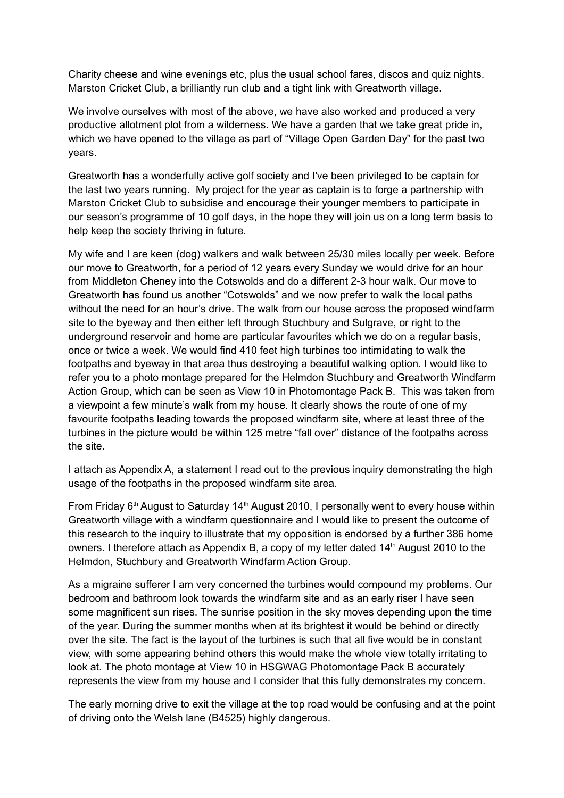Charity cheese and wine evenings etc, plus the usual school fares, discos and quiz nights. Marston Cricket Club, a brilliantly run club and a tight link with Greatworth village.

We involve ourselves with most of the above, we have also worked and produced a very productive allotment plot from a wilderness. We have a garden that we take great pride in, which we have opened to the village as part of "Village Open Garden Day" for the past two years.

Greatworth has a wonderfully active golf society and I've been privileged to be captain for the last two years running. My project for the year as captain is to forge a partnership with Marston Cricket Club to subsidise and encourage their younger members to participate in our season's programme of 10 golf days, in the hope they will join us on a long term basis to help keep the society thriving in future.

My wife and I are keen (dog) walkers and walk between 25/30 miles locally per week. Before our move to Greatworth, for a period of 12 years every Sunday we would drive for an hour from Middleton Cheney into the Cotswolds and do a different 2-3 hour walk. Our move to Greatworth has found us another "Cotswolds" and we now prefer to walk the local paths without the need for an hour's drive. The walk from our house across the proposed windfarm site to the byeway and then either left through Stuchbury and Sulgrave, or right to the underground reservoir and home are particular favourites which we do on a regular basis, once or twice a week. We would find 410 feet high turbines too intimidating to walk the footpaths and byeway in that area thus destroying a beautiful walking option. I would like to refer you to a photo montage prepared for the Helmdon Stuchbury and Greatworth Windfarm Action Group, which can be seen as View 10 in Photomontage Pack B. This was taken from a viewpoint a few minute's walk from my house. It clearly shows the route of one of my favourite footpaths leading towards the proposed windfarm site, where at least three of the turbines in the picture would be within 125 metre "fall over" distance of the footpaths across the site.

I attach as Appendix A, a statement I read out to the previous inquiry demonstrating the high usage of the footpaths in the proposed windfarm site area.

From Friday  $6<sup>th</sup>$  August to Saturday 14<sup>th</sup> August 2010, I personally went to every house within Greatworth village with a windfarm questionnaire and I would like to present the outcome of this research to the inquiry to illustrate that my opposition is endorsed by a further 386 home owners. I therefore attach as Appendix B, a copy of my letter dated  $14<sup>th</sup>$  August 2010 to the Helmdon, Stuchbury and Greatworth Windfarm Action Group.

As a migraine sufferer I am very concerned the turbines would compound my problems. Our bedroom and bathroom look towards the windfarm site and as an early riser I have seen some magnificent sun rises. The sunrise position in the sky moves depending upon the time of the year. During the summer months when at its brightest it would be behind or directly over the site. The fact is the layout of the turbines is such that all five would be in constant view, with some appearing behind others this would make the whole view totally irritating to look at. The photo montage at View 10 in HSGWAG Photomontage Pack B accurately represents the view from my house and I consider that this fully demonstrates my concern.

The early morning drive to exit the village at the top road would be confusing and at the point of driving onto the Welsh lane (B4525) highly dangerous.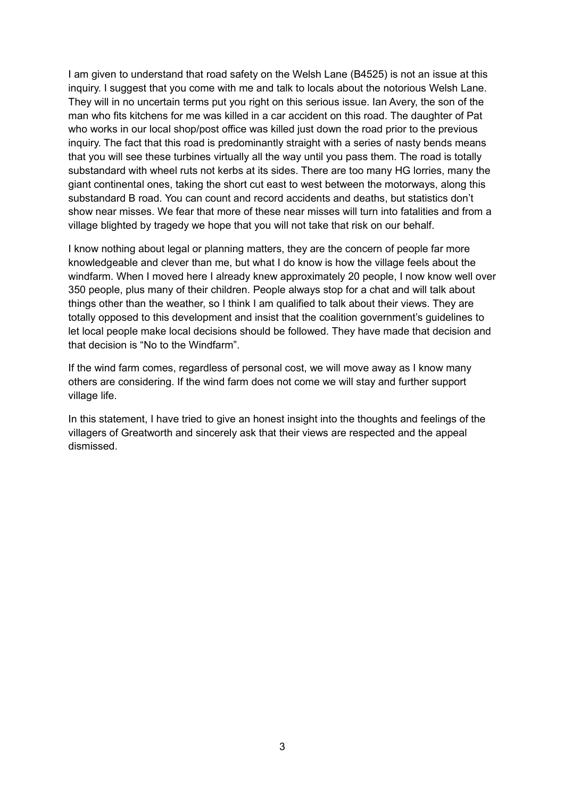I am given to understand that road safety on the Welsh Lane (B4525) is not an issue at this inquiry. I suggest that you come with me and talk to locals about the notorious Welsh Lane. They will in no uncertain terms put you right on this serious issue. Ian Avery, the son of the man who fits kitchens for me was killed in a car accident on this road. The daughter of Pat who works in our local shop/post office was killed just down the road prior to the previous inquiry. The fact that this road is predominantly straight with a series of nasty bends means that you will see these turbines virtually all the way until you pass them. The road is totally substandard with wheel ruts not kerbs at its sides. There are too many HG lorries, many the giant continental ones, taking the short cut east to west between the motorways, along this substandard B road. You can count and record accidents and deaths, but statistics don't show near misses. We fear that more of these near misses will turn into fatalities and from a village blighted by tragedy we hope that you will not take that risk on our behalf.

I know nothing about legal or planning matters, they are the concern of people far more knowledgeable and clever than me, but what I do know is how the village feels about the windfarm. When I moved here I already knew approximately 20 people, I now know well over 350 people, plus many of their children. People always stop for a chat and will talk about things other than the weather, so I think I am qualified to talk about their views. They are totally opposed to this development and insist that the coalition government's guidelines to let local people make local decisions should be followed. They have made that decision and that decision is "No to the Windfarm".

If the wind farm comes, regardless of personal cost, we will move away as I know many others are considering. If the wind farm does not come we will stay and further support village life.

In this statement, I have tried to give an honest insight into the thoughts and feelings of the villagers of Greatworth and sincerely ask that their views are respected and the appeal dismissed.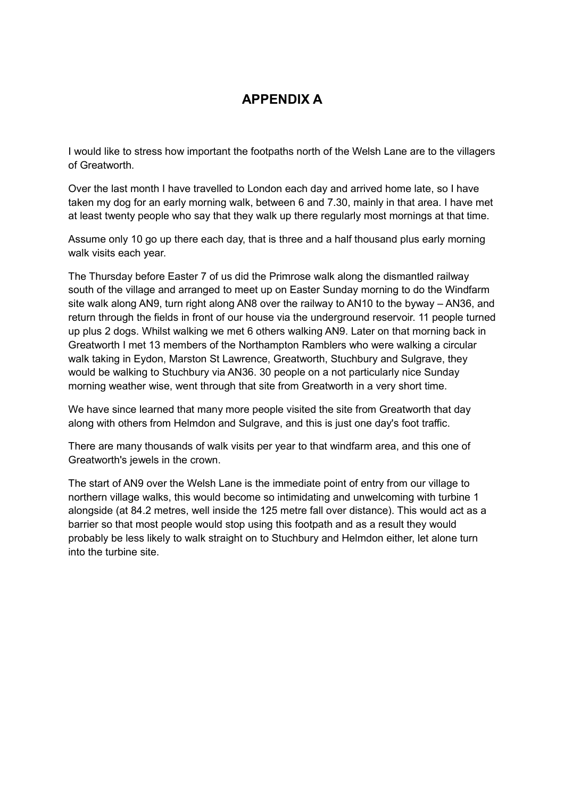# **APPENDIX A**

I would like to stress how important the footpaths north of the Welsh Lane are to the villagers of Greatworth.

Over the last month I have travelled to London each day and arrived home late, so I have taken my dog for an early morning walk, between 6 and 7.30, mainly in that area. I have met at least twenty people who say that they walk up there regularly most mornings at that time.

Assume only 10 go up there each day, that is three and a half thousand plus early morning walk visits each year.

The Thursday before Easter 7 of us did the Primrose walk along the dismantled railway south of the village and arranged to meet up on Easter Sunday morning to do the Windfarm site walk along AN9, turn right along AN8 over the railway to AN10 to the byway – AN36, and return through the fields in front of our house via the underground reservoir. 11 people turned up plus 2 dogs. Whilst walking we met 6 others walking AN9. Later on that morning back in Greatworth I met 13 members of the Northampton Ramblers who were walking a circular walk taking in Eydon, Marston St Lawrence, Greatworth, Stuchbury and Sulgrave, they would be walking to Stuchbury via AN36. 30 people on a not particularly nice Sunday morning weather wise, went through that site from Greatworth in a very short time.

We have since learned that many more people visited the site from Greatworth that day along with others from Helmdon and Sulgrave, and this is just one day's foot traffic.

There are many thousands of walk visits per year to that windfarm area, and this one of Greatworth's jewels in the crown.

The start of AN9 over the Welsh Lane is the immediate point of entry from our village to northern village walks, this would become so intimidating and unwelcoming with turbine 1 alongside (at 84.2 metres, well inside the 125 metre fall over distance). This would act as a barrier so that most people would stop using this footpath and as a result they would probably be less likely to walk straight on to Stuchbury and Helmdon either, let alone turn into the turbine site.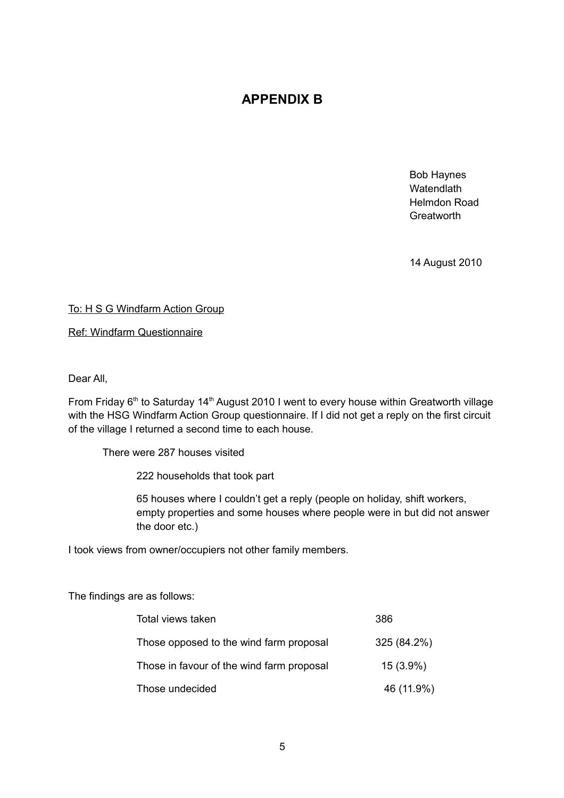# **APPENDIX B**

Bob Haynes **Watendlath** Helmdon Road **Greatworth** 

14 August 2010

To: H S G Windfarm Action Group

Ref: Windfarm Questionnaire

Dear All,

From Friday  $6<sup>th</sup>$  to Saturday 14<sup>th</sup> August 2010 I went to every house within Greatworth village with the HSG Windfarm Action Group questionnaire. If I did not get a reply on the first circuit of the village I returned a second time to each house.

There were 287 houses visited

222 households that took part

65 houses where I couldn't get a reply (people on holiday, shift workers, empty properties and some houses where people were in but did not answer the door etc.)

I took views from owner/occupiers not other family members.

The findings are as follows:

| Total views taken                         | 386         |
|-------------------------------------------|-------------|
| Those opposed to the wind farm proposal   | 325 (84.2%) |
| Those in favour of the wind farm proposal | $15(3.9\%)$ |
| Those undecided                           | 46 (11.9%)  |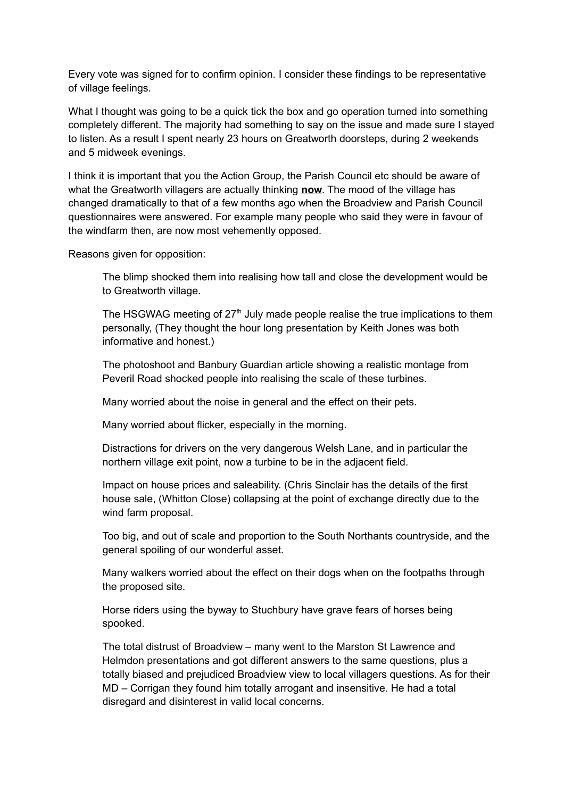Every vote was signed for to confirm opinion. I consider these findings to be representative of village feelings.

What I thought was going to be a quick tick the box and go operation turned into something completely different. The majority had something to say on the issue and made sure I stayed to listen. As a result I spent nearly 23 hours on Greatworth doorsteps, during 2 weekends and 5 midweek evenings.

I think it is important that you the Action Group, the Parish Council etc should be aware of what the Greatworth villagers are actually thinking **now**. The mood of the village has changed dramatically to that of a few months ago when the Broadview and Parish Council questionnaires were answered. For example many people who said they were in favour of the windfarm then, are now most vehemently opposed.

Reasons given for opposition:

The blimp shocked them into realising how tall and close the development would be to Greatworth village.

The HSGWAG meeting of  $27<sup>th</sup>$  July made people realise the true implications to them personally, (They thought the hour long presentation by Keith Jones was both informative and honest.)

The photoshoot and Banbury Guardian article showing a realistic montage from Peveril Road shocked people into realising the scale of these turbines.

Many worried about the noise in general and the effect on their pets.

Many worried about flicker, especially in the morning.

Distractions for drivers on the very dangerous Welsh Lane, and in particular the northern village exit point, now a turbine to be in the adjacent field.

Impact on house prices and saleability. (Chris Sinclair has the details of the first house sale, (Whitton Close) collapsing at the point of exchange directly due to the wind farm proposal.

Too big, and out of scale and proportion to the South Northants countryside, and the general spoiling of our wonderful asset.

Many walkers worried about the effect on their dogs when on the footpaths through the proposed site.

Horse riders using the byway to Stuchbury have grave fears of horses being spooked.

The total distrust of Broadview – many went to the Marston St Lawrence and Helmdon presentations and got different answers to the same questions, plus a totally biased and prejudiced Broadview view to local villagers questions. As for their MD – Corrigan they found him totally arrogant and insensitive. He had a total disregard and disinterest in valid local concerns.